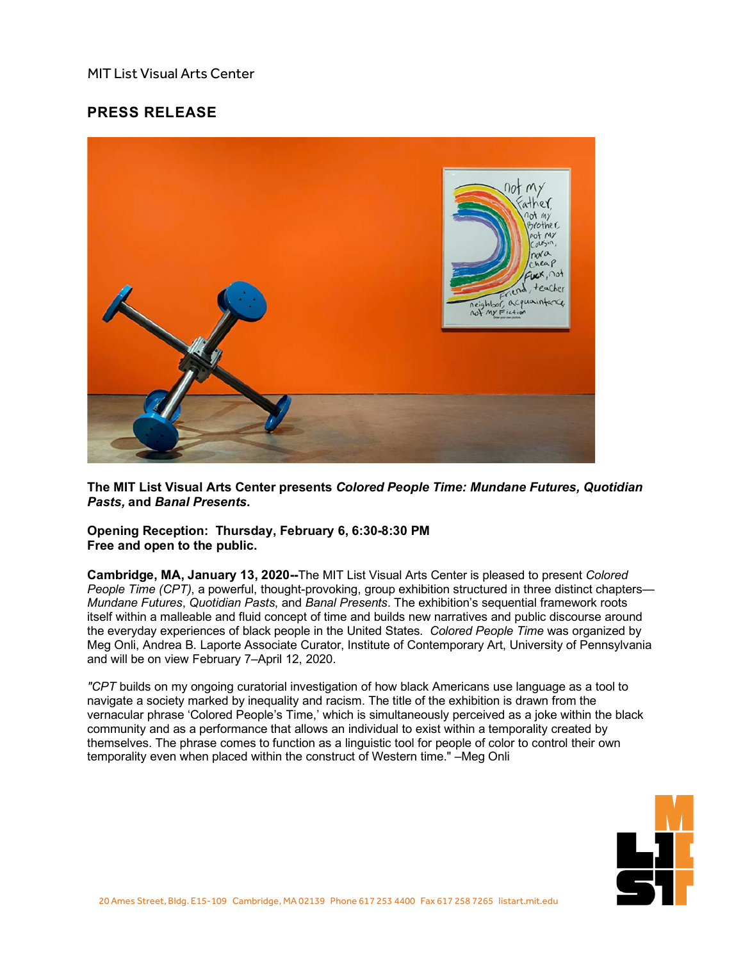## MIT List Visual Arts Center

## **PRESS RELEASE**



**The MIT List Visual Arts Center presents** *Colored People Time: Mundane Futures, Quotidian Pasts,* **and** *Banal Presents.*

**Opening Reception: Thursday, February 6, 6:30-8:30 PM Free and open to the public.**

**Cambridge, MA, January 13, 2020--**The MIT List Visual Arts Center is pleased to present *Colored People Time (CPT)*, a powerful, thought-provoking, group exhibition structured in three distinct chapters— *Mundane Futures*, *Quotidian Pasts*, and *Banal Presents*. The exhibition's sequential framework roots itself within a malleable and fluid concept of time and builds new narratives and public discourse around the everyday experiences of black people in the United States. *Colored People Time* was organized by Meg Onli, Andrea B. Laporte Associate Curator, Institute of Contemporary Art, University of Pennsylvania and will be on view February 7–April 12, 2020.

*"CPT* builds on my ongoing curatorial investigation of how black Americans use language as a tool to navigate a society marked by inequality and racism. The title of the exhibition is drawn from the vernacular phrase 'Colored People's Time,' which is simultaneously perceived as a joke within the black community and as a performance that allows an individual to exist within a temporality created by themselves. The phrase comes to function as a linguistic tool for people of color to control their own temporality even when placed within the construct of Western time." –Meg Onli

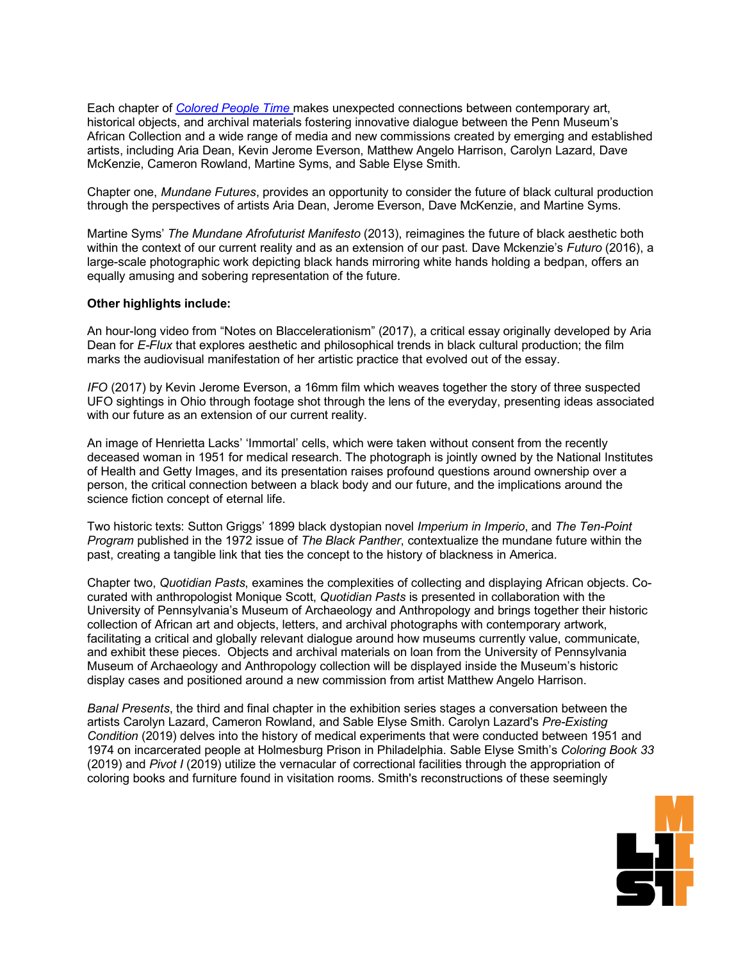Each chapter of *[Colored](https://listart.mit.edu/exhibitions/colored-people-time-mundane-futures-quotidian-pasts-banal-presents) People Time* makes unexpected connections between contemporary art, historical objects, and archival materials fostering innovative dialogue between the Penn Museum's African Collection and a wide range of media and new commissions created by emerging and established artists, including Aria Dean, Kevin Jerome Everson, Matthew Angelo Harrison, Carolyn Lazard, Dave McKenzie, Cameron Rowland, Martine Syms, and Sable Elyse Smith.

Chapter one, *Mundane Futures*, provides an opportunity to consider the future of black cultural production through the perspectives of artists Aria Dean, Jerome Everson, Dave McKenzie, and Martine Syms.

Martine Syms' *The Mundane Afrofuturist Manifesto* (2013), reimagines the future of black aesthetic both within the context of our current reality and as an extension of our past. Dave Mckenzie's *Futuro* (2016), a large-scale photographic work depicting black hands mirroring white hands holding a bedpan, offers an equally amusing and sobering representation of the future.

## **Other highlights include:**

An hour-long video from "Notes on Blaccelerationism" (2017), a critical essay originally developed by Aria Dean for *E-Flux* that explores aesthetic and philosophical trends in black cultural production; the film marks the audiovisual manifestation of her artistic practice that evolved out of the essay.

*IFO* (2017) by Kevin Jerome Everson, a 16mm film which weaves together the story of three suspected UFO sightings in Ohio through footage shot through the lens of the everyday, presenting ideas associated with our future as an extension of our current reality.

An image of Henrietta Lacks' 'Immortal' cells, which were taken without consent from the recently deceased woman in 1951 for medical research. The photograph is jointly owned by the National Institutes of Health and Getty Images, and its presentation raises profound questions around ownership over a person, the critical connection between a black body and our future, and the implications around the science fiction concept of eternal life.

Two historic texts: Sutton Griggs' 1899 black dystopian novel *Imperium in Imperio*, and *The Ten-Point Program* published in the 1972 issue of *The Black Panther*, contextualize the mundane future within the past, creating a tangible link that ties the concept to the history of blackness in America.

Chapter two, *Quotidian Pasts*, examines the complexities of collecting and displaying African objects. Cocurated with anthropologist Monique Scott, *Quotidian Pasts* is presented in collaboration with the University of Pennsylvania's Museum of Archaeology and Anthropology and brings together their historic collection of African art and objects, letters, and archival photographs with contemporary artwork, facilitating a critical and globally relevant dialogue around how museums currently value, communicate, and exhibit these pieces. Objects and archival materials on loan from the University of Pennsylvania Museum of Archaeology and Anthropology collection will be displayed inside the Museum's historic display cases and positioned around a new commission from artist Matthew Angelo Harrison.

*Banal Presents*, the third and final chapter in the exhibition series stages a conversation between the artists Carolyn Lazard, Cameron Rowland, and Sable Elyse Smith. Carolyn Lazard's *Pre-Existing Condition* (2019) delves into the history of medical experiments that were conducted between 1951 and 1974 on incarcerated people at Holmesburg Prison in Philadelphia. Sable Elyse Smith's *Coloring Book 33* (2019) and *Pivot I* (2019) utilize the vernacular of correctional facilities through the appropriation of coloring books and furniture found in visitation rooms. Smith's reconstructions of these seemingly